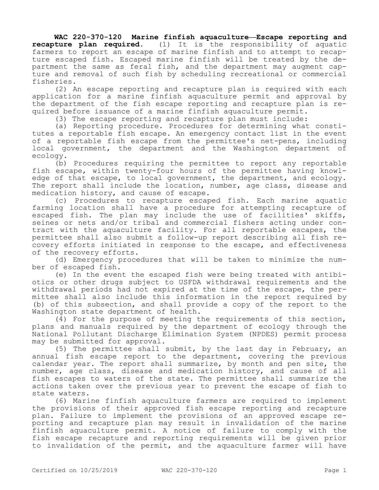**WAC 220-370-120 Marine finfish aquaculture—Escape reporting and recapture plan required.** (1) It is the responsibility of aquatic farmers to report an escape of marine finfish and to attempt to recapture escaped fish. Escaped marine finfish will be treated by the department the same as feral fish, and the department may augment capture and removal of such fish by scheduling recreational or commercial fisheries.

(2) An escape reporting and recapture plan is required with each application for a marine finfish aquaculture permit and approval by the department of the fish escape reporting and recapture plan is required before issuance of a marine finfish aquaculture permit.

(3) The escape reporting and recapture plan must include:

(a) Reporting procedure. Procedures for determining what constitutes a reportable fish escape. An emergency contact list in the event of a reportable fish escape from the permittee's net-pens, including local government, the department and the Washington department of ecology.

(b) Procedures requiring the permittee to report any reportable fish escape, within twenty-four hours of the permittee having knowledge of that escape, to local government, the department, and ecology. The report shall include the location, number, age class, disease and medication history, and cause of escape.

(c) Procedures to recapture escaped fish. Each marine aquatic farming location shall have a procedure for attempting recapture of escaped fish. The plan may include the use of facilities' skiffs, seines or nets and/or tribal and commercial fishers acting under contract with the aquaculture facility. For all reportable escapes, the permittee shall also submit a follow-up report describing all fish recovery efforts initiated in response to the escape, and effectiveness of the recovery efforts.

(d) Emergency procedures that will be taken to minimize the number of escaped fish.

(e) In the event the escaped fish were being treated with antibiotics or other drugs subject to USFDA withdrawal requirements and the withdrawal periods had not expired at the time of the escape, the permittee shall also include this information in the report required by (b) of this subsection, and shall provide a copy of the report to the Washington state department of health.

(4) For the purpose of meeting the requirements of this section, plans and manuals required by the department of ecology through the National Pollutant Discharge Elimination System (NPDES) permit process may be submitted for approval.

(5) The permittee shall submit, by the last day in February, an annual fish escape report to the department, covering the previous calendar year. The report shall summarize, by month and pen site, the number, age class, disease and medication history, and cause of all fish escapes to waters of the state. The permittee shall summarize the actions taken over the previous year to prevent the escape of fish to state waters.

(6) Marine finfish aquaculture farmers are required to implement the provisions of their approved fish escape reporting and recapture plan. Failure to implement the provisions of an approved escape reporting and recapture plan may result in invalidation of the marine finfish aquaculture permit. A notice of failure to comply with the fish escape recapture and reporting requirements will be given prior to invalidation of the permit, and the aquaculture farmer will have